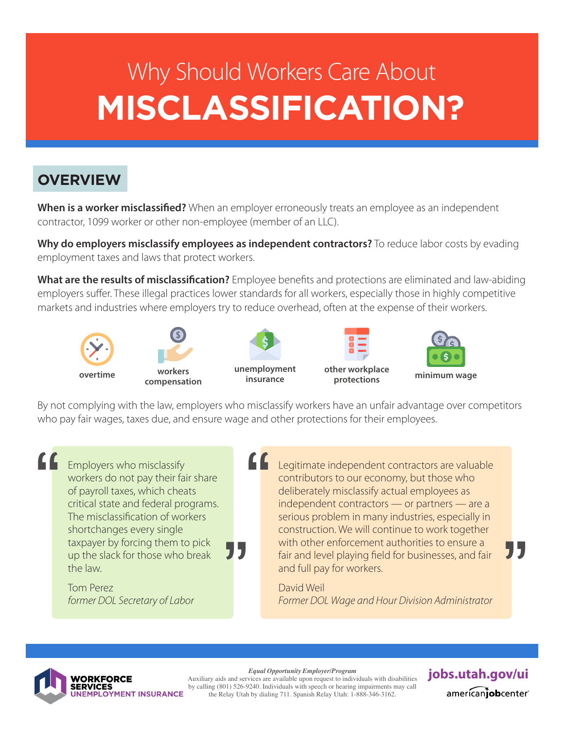# **MISCLASSIFICATION?**  Why Should Workers Care About

# **OVERVIEW**

When is a worker misclassified? When an employer erroneously treats an employee as an independent contractor, 1099 worker or other non-employee (member of an LLC).

**Why do employers misclassify employees as independent contractors?** To reduce labor costs by evading employment taxes and laws that protect workers.

**What are the results of misclassification?** Employee benefits and protections are eliminated and law-abiding employers suffer. These illegal practices lower standards for all workers, especially those in highly competitive markets and industries where employers try to reduce overhead, often at the expense of their workers.







**protections**



By not complying with the law, employers who misclassify workers have an unfair advantage over competitors who pay fair wages, taxes due, and ensure wage and other protections for their employees.

"

Employers who misclassify workers do not pay their fair share of payroll taxes, which cheats critical state and federal programs. The misclassification of workers shortchanges every single taxpayer by forcing them to pick up the slack for those who break the law. "<br>"

> Tom Perez *former DOL Secretary of Labor*

Legitimate independent contractors are valuable contributors to our economy, but those who deliberately misclassify actual employees as independent contractors — or partners — are a serious problem in many industries, especially in construction. We will continue to work together with other enforcement authorities to ensure a fair and level playing field for businesses, and fair and full pay for workers.  $\epsilon$ 

> David Weil *Former DOL Wage and Hour Division Administrator*



Auxiliary aids and services are available upon request to individuals with disabilities by calling (801) 526-9240. Individuals with speech or hearing impairments may call the Relay Utah by dialing 711. Spanish Relay Utah: 1-888-346-3162.

*Equal Opportunity Employer/Program*<br>vices are available upon request to individuals with disabilities **Jobs.utah.gov/ui** americanjobcenter

"